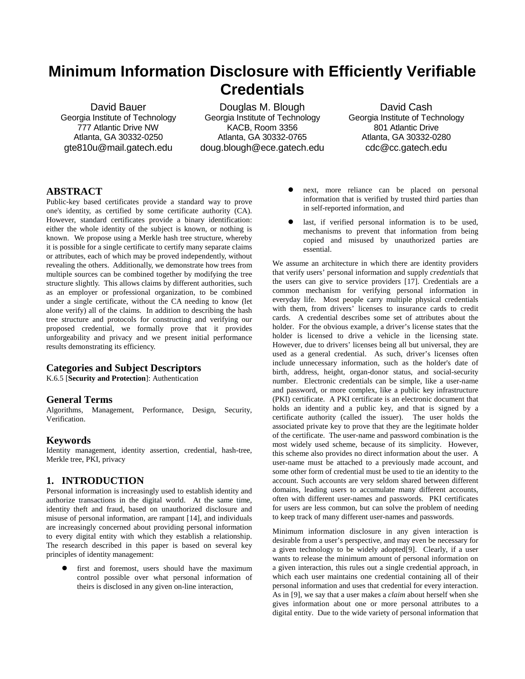# **Minimum Information Disclosure with Efficiently Verifiable Credentials**

David Bauer Georgia Institute of Technology 777 Atlantic Drive NW Atlanta, GA 30332-0250 gte810u@mail.gatech.edu

Douglas M. Blough Georgia Institute of Technology KACB, Room 3356 Atlanta, GA 30332-0765 doug.blough@ece.gatech.edu

David Cash Georgia Institute of Technology 801 Atlantic Drive Atlanta, GA 30332-0280 cdc@cc.gatech.edu

# **ABSTRACT**

Public-key based certificates provide a standard way to prove one's identity, as certified by some certificate authority (CA). However, standard certificates provide a binary identification: either the whole identity of the subject is known, or nothing is known. We propose using a Merkle hash tree structure, whereby it is possible for a single certificate to certify many separate claims or attributes, each of which may be proved independently, without revealing the others. Additionally, we demonstrate how trees from multiple sources can be combined together by modifying the tree structure slightly. This allows claims by different authorities, such as an employer or professional organization, to be combined under a single certificate, without the CA needing to know (let alone verify) all of the claims. In addition to describing the hash tree structure and protocols for constructing and verifying our proposed credential, we formally prove that it provides unforgeability and privacy and we present initial performance results demonstrating its efficiency.

## **Categories and Subject Descriptors**

K.6.5 [**Security and Protection**]: Authentication

#### **General Terms**

Algorithms, Management, Performance, Design, Security, Verification.

## **Keywords**

Identity management, identity assertion, credential, hash-tree, Merkle tree, PKI, privacy

# **1. INTRODUCTION**

Personal information is increasingly used to establish identity and authorize transactions in the digital world. At the same time, identity theft and fraud, based on unauthorized disclosure and misuse of personal information, are rampant [14], and individuals are increasingly concerned about providing personal information to every digital entity with which they establish a relationship. The research described in this paper is based on several key principles of identity management:

 first and foremost, users should have the maximum control possible over what personal information of theirs is disclosed in any given on-line interaction,

- next, more reliance can be placed on personal information that is verified by trusted third parties than in self-reported information, and
- last, if verified personal information is to be used, mechanisms to prevent that information from being copied and misused by unauthorized parties are essential.

We assume an architecture in which there are identity providers that verify users' personal information and supply *credentials* that the users can give to service providers [17]. Credentials are a common mechanism for verifying personal information in everyday life. Most people carry multiple physical credentials with them, from drivers' licenses to insurance cards to credit cards. A credential describes some set of attributes about the holder. For the obvious example, a driver's license states that the holder is licensed to drive a vehicle in the licensing state. However, due to drivers' licenses being all but universal, they are used as a general credential. As such, driver's licenses often include unnecessary information, such as the holder's date of birth, address, height, organ-donor status, and social-security number. Electronic credentials can be simple, like a user-name and password, or more complex, like a public key infrastructure (PKI) certificate. A PKI certificate is an electronic document that holds an identity and a public key, and that is signed by a certificate authority (called the issuer). The user holds the associated private key to prove that they are the legitimate holder of the certificate. The user-name and password combination is the most widely used scheme, because of its simplicity. However, this scheme also provides no direct information about the user. A user-name must be attached to a previously made account, and some other form of credential must be used to tie an identity to the account. Such accounts are very seldom shared between different domains, leading users to accumulate many different accounts, often with different user-names and passwords. PKI certificates for users are less common, but can solve the problem of needing to keep track of many different user-names and passwords.

Minimum information disclosure in any given interaction is desirable from a user's perspective, and may even be necessary for a given technology to be widely adopted[9]. Clearly, if a user wants to release the minimum amount of personal information on a given interaction, this rules out a single credential approach, in which each user maintains one credential containing all of their personal information and uses that credential for every interaction. As in [9], we say that a user makes a *claim* about herself when she gives information about one or more personal attributes to a digital entity. Due to the wide variety of personal information that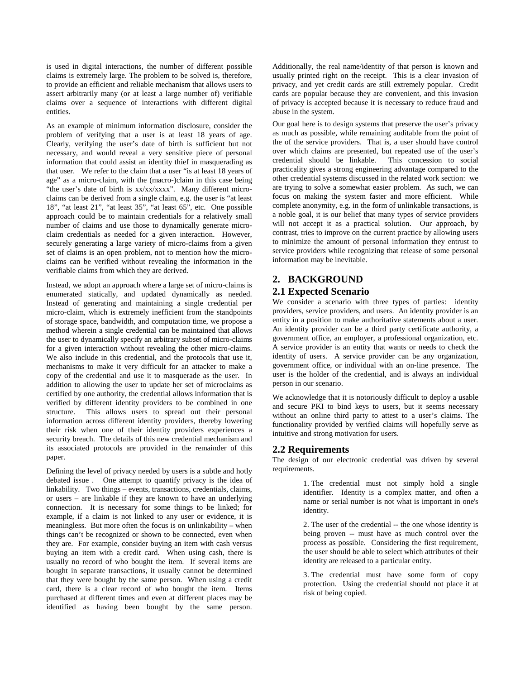is used in digital interactions, the number of different possible claims is extremely large. The problem to be solved is, therefore, to provide an efficient and reliable mechanism that allows users to assert arbitrarily many (or at least a large number of) verifiable claims over a sequence of interactions with different digital entities.

As an example of minimum information disclosure, consider the problem of verifying that a user is at least 18 years of age. Clearly, verifying the user's date of birth is sufficient but not necessary, and would reveal a very sensitive piece of personal information that could assist an identity thief in masquerading as that user. We refer to the claim that a user "is at least 18 years of age" as a micro-claim, with the (macro-)claim in this case being "the user's date of birth is xx/xx/xxxx". Many different microclaims can be derived from a single claim, e.g. the user is "at least 18", "at least 21", "at least 35", "at least 65", etc. One possible approach could be to maintain credentials for a relatively small number of claims and use those to dynamically generate microclaim credentials as needed for a given interaction. However, securely generating a large variety of micro-claims from a given set of claims is an open problem, not to mention how the microclaims can be verified without revealing the information in the verifiable claims from which they are derived.

Instead, we adopt an approach where a large set of micro-claims is enumerated statically, and updated dynamically as needed. Instead of generating and maintaining a single credential per micro-claim, which is extremely inefficient from the standpoints of storage space, bandwidth, and computation time, we propose a method wherein a single credential can be maintained that allows the user to dynamically specify an arbitrary subset of micro-claims for a given interaction without revealing the other micro-claims. We also include in this credential, and the protocols that use it, mechanisms to make it very difficult for an attacker to make a copy of the credential and use it to masquerade as the user. In addition to allowing the user to update her set of microclaims as certified by one authority, the credential allows information that is verified by different identity providers to be combined in one structure. This allows users to spread out their personal information across different identity providers, thereby lowering their risk when one of their identity providers experiences a security breach. The details of this new credential mechanism and its associated protocols are provided in the remainder of this paper.

Defining the level of privacy needed by users is a subtle and hotly debated issue . One attempt to quantify privacy is the idea of linkability. Two things – events, transactions, credentials, claims, or users – are linkable if they are known to have an underlying connection. It is necessary for some things to be linked; for example, if a claim is not linked to any user or evidence, it is meaningless. But more often the focus is on unlinkability – when things can't be recognized or shown to be connected, even when they are. For example, consider buying an item with cash versus buying an item with a credit card. When using cash, there is usually no record of who bought the item. If several items are bought in separate transactions, it usually cannot be determined that they were bought by the same person. When using a credit card, there is a clear record of who bought the item. Items purchased at different times and even at different places may be identified as having been bought by the same person.

Additionally, the real name/identity of that person is known and usually printed right on the receipt. This is a clear invasion of privacy, and yet credit cards are still extremely popular. Credit cards are popular because they are convenient, and this invasion of privacy is accepted because it is necessary to reduce fraud and abuse in the system.

Our goal here is to design systems that preserve the user's privacy as much as possible, while remaining auditable from the point of the of the service providers. That is, a user should have control over which claims are presented, but repeated use of the user's credential should be linkable. This concession to social practicality gives a strong engineering advantage compared to the other credential systems discussed in the related work section: we are trying to solve a somewhat easier problem. As such, we can focus on making the system faster and more efficient. While complete anonymity, e.g. in the form of unlinkable transactions, is a noble goal, it is our belief that many types of service providers will not accept it as a practical solution. Our approach, by contrast, tries to improve on the current practice by allowing users to minimize the amount of personal information they entrust to service providers while recognizing that release of some personal information may be inevitable.

# **2. BACKGROUND**

## **2.1 Expected Scenario**

We consider a scenario with three types of parties: identity providers, service providers, and users. An identity provider is an entity in a position to make authoritative statements about a user. An identity provider can be a third party certificate authority, a government office, an employer, a professional organization, etc. A service provider is an entity that wants or needs to check the identity of users. A service provider can be any organization, government office, or individual with an on-line presence. The user is the holder of the credential, and is always an individual person in our scenario.

We acknowledge that it is notoriously difficult to deploy a usable and secure PKI to bind keys to users, but it seems necessary without an online third party to attest to a user's claims. The functionality provided by verified claims will hopefully serve as intuitive and strong motivation for users.

## **2.2 Requirements**

The design of our electronic credential was driven by several requirements.

> 1. The credential must not simply hold a single identifier. Identity is a complex matter, and often a name or serial number is not what is important in one's identity.

> 2. The user of the credential -- the one whose identity is being proven -- must have as much control over the process as possible. Considering the first requirement, the user should be able to select which attributes of their identity are released to a particular entity.

> 3. The credential must have some form of copy protection. Using the credential should not place it at risk of being copied.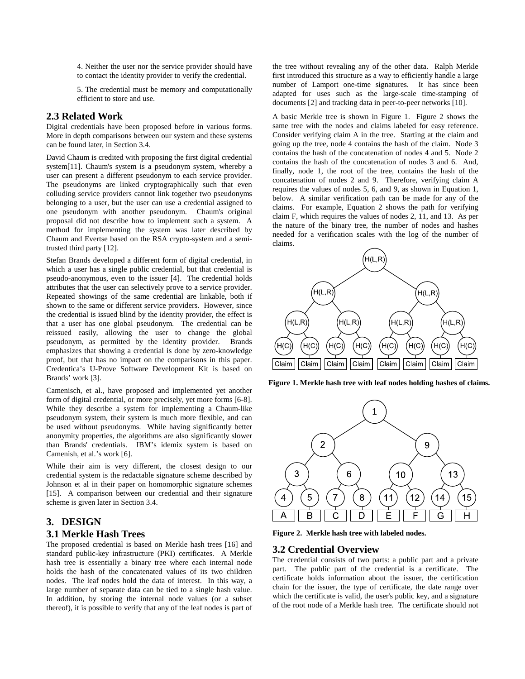4. Neither the user nor the service provider should have to contact the identity provider to verify the credential.

5. The credential must be memory and computationally efficient to store and use.

## **2.3 Related Work**

Digital credentials have been proposed before in various forms. More in depth comparisons between our system and these systems can be found later, in Section 3.4.

David Chaum is credited with proposing the first digital credential system[11]. Chaum's system is a pseudonym system, whereby a user can present a different pseudonym to each service provider. The pseudonyms are linked cryptographically such that even colluding service providers cannot link together two pseudonyms belonging to a user, but the user can use a credential assigned to one pseudonym with another pseudonym. Chaum's original proposal did not describe how to implement such a system. A method for implementing the system was later described by Chaum and Evertse based on the RSA crypto-system and a semitrusted third party [12].

Stefan Brands developed a different form of digital credential, in which a user has a single public credential, but that credential is pseudo-anonymous, even to the issuer [4]. The credential holds attributes that the user can selectively prove to a service provider. Repeated showings of the same credential are linkable, both if shown to the same or different service providers. However, since the credential is issued blind by the identity provider, the effect is that a user has one global pseudonym. The credential can be reissued easily, allowing the user to change the global pseudonym, as permitted by the identity provider. Brands emphasizes that showing a credential is done by zero-knowledge proof, but that has no impact on the comparisons in this paper. Credentica's U-Prove Software Development Kit is based on Brands' work [3].

Camenisch, et al., have proposed and implemented yet another form of digital credential, or more precisely, yet more forms [6-8]. While they describe a system for implementing a Chaum-like pseudonym system, their system is much more flexible, and can be used without pseudonyms. While having significantly better anonymity properties, the algorithms are also significantly slower than Brands' credentials. IBM's idemix system is based on Camenish, et al.'s work [6].

While their aim is very different, the closest design to our credential system is the redactable signature scheme described by Johnson et al in their paper on homomorphic signature schemes [15]. A comparison between our credential and their signature scheme is given later in Section 3.4.

# **3. DESIGN**

# **3.1 Merkle Hash Trees**

The proposed credential is based on Merkle hash trees [16] and standard public-key infrastructure (PKI) certificates. A Merkle hash tree is essentially a binary tree where each internal node holds the hash of the concatenated values of its two children nodes. The leaf nodes hold the data of interest. In this way, a large number of separate data can be tied to a single hash value. In addition, by storing the internal node values (or a subset thereof), it is possible to verify that any of the leaf nodes is part of the tree without revealing any of the other data. Ralph Merkle first introduced this structure as a way to efficiently handle a large number of Lamport one-time signatures. It has since been adapted for uses such as the large-scale time-stamping of documents [2] and tracking data in peer-to-peer networks [10].

A basic Merkle tree is shown in Figure 1. Figure 2 shows the same tree with the nodes and claims labeled for easy reference. Consider verifying claim A in the tree. Starting at the claim and going up the tree, node 4 contains the hash of the claim. Node 3 contains the hash of the concatenation of nodes 4 and 5. Node 2 contains the hash of the concatenation of nodes 3 and 6. And, finally, node 1, the root of the tree, contains the hash of the concatenation of nodes 2 and 9. Therefore, verifying claim A requires the values of nodes 5, 6, and 9, as shown in Equation 1, below. A similar verification path can be made for any of the claims. For example, Equation 2 shows the path for verifying claim F, which requires the values of nodes 2, 11, and 13. As per the nature of the binary tree, the number of nodes and hashes needed for a verification scales with the log of the number of claims.



**Figure 1. Merkle hash tree with leaf nodes holding hashes of claims.**



**Figure 2. Merkle hash tree with labeled nodes.**

#### **3.2 Credential Overview**

The credential consists of two parts: a public part and a private part. The public part of the credential is a certificate. The certificate holds information about the issuer, the certification chain for the issuer, the type of certificate, the date range over which the certificate is valid, the user's public key, and a signature of the root node of a Merkle hash tree. The certificate should not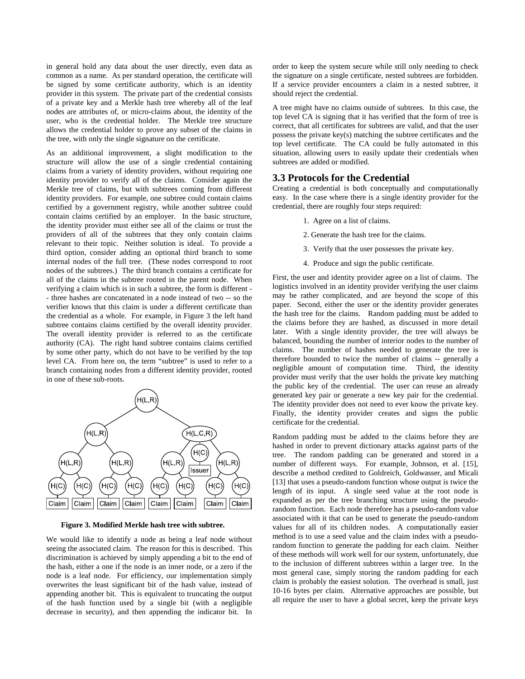in general hold any data about the user directly, even data as common as a name. As per standard operation, the certificate will be signed by some certificate authority, which is an identity provider in this system. The private part of the credential consists of a private key and a Merkle hash tree whereby all of the leaf nodes are attributes of, or micro-claims about, the identity of the user, who is the credential holder. The Merkle tree structure allows the credential holder to prove any subset of the claims in the tree, with only the single signature on the certificate.

As an additional improvement, a slight modification to the structure will allow the use of a single credential containing claims from a variety of identity providers, without requiring one identity provider to verify all of the claims. Consider again the Merkle tree of claims, but with subtrees coming from different identity providers. For example, one subtree could contain claims certified by a government registry, while another subtree could contain claims certified by an employer. In the basic structure, the identity provider must either see all of the claims or trust the providers of all of the subtrees that they only contain claims relevant to their topic. Neither solution is ideal. To provide a third option, consider adding an optional third branch to some internal nodes of the full tree. (These nodes correspond to root nodes of the subtrees.) The third branch contains a certificate for all of the claims in the subtree rooted in the parent node. When verifying a claim which is in such a subtree, the form is different - - three hashes are concatenated in a node instead of two -- so the verifier knows that this claim is under a different certificate than the credential as a whole. For example, in Figure 3 the left hand subtree contains claims certified by the overall identity provider. The overall identity provider is referred to as the certificate authority (CA). The right hand subtree contains claims certified by some other party, which do not have to be verified by the top level CA. From here on, the term "subtree" is used to refer to a branch containing nodes from a different identity provider, rooted in one of these sub-roots.



**Figure 3. Modified Merkle hash tree with subtree.** 

We would like to identify a node as being a leaf node without seeing the associated claim. The reason for this is described. This discrimination is achieved by simply appending a bit to the end of the hash, either a one if the node is an inner node, or a zero if the node is a leaf node. For efficiency, our implementation simply overwrites the least significant bit of the hash value, instead of appending another bit. This is equivalent to truncating the output of the hash function used by a single bit (with a negligible decrease in security), and then appending the indicator bit. In order to keep the system secure while still only needing to check the signature on a single certificate, nested subtrees are forbidden. If a service provider encounters a claim in a nested subtree, it should reject the credential.

A tree might have no claims outside of subtrees. In this case, the top level CA is signing that it has verified that the form of tree is correct, that all certificates for subtrees are valid, and that the user possess the private key(s) matching the subtree certificates and the top level certificate. The CA could be fully automated in this situation, allowing users to easily update their credentials when subtrees are added or modified.

#### **3.3 Protocols for the Credential**

Creating a credential is both conceptually and computationally easy. In the case where there is a single identity provider for the credential, there are roughly four steps required:

- 1. Agree on a list of claims.
- 2. Generate the hash tree for the claims.
- 3. Verify that the user possesses the private key.
- 4. Produce and sign the public certificate.

First, the user and identity provider agree on a list of claims. The logistics involved in an identity provider verifying the user claims may be rather complicated, and are beyond the scope of this paper. Second, either the user or the identity provider generates the hash tree for the claims. Random padding must be added to the claims before they are hashed, as discussed in more detail later. With a single identity provider, the tree will always be balanced, bounding the number of interior nodes to the number of claims. The number of hashes needed to generate the tree is therefore bounded to twice the number of claims -- generally a negligible amount of computation time. Third, the identity provider must verify that the user holds the private key matching the public key of the credential. The user can reuse an already generated key pair or generate a new key pair for the credential. The identity provider does not need to ever know the private key. Finally, the identity provider creates and signs the public certificate for the credential.

Random padding must be added to the claims before they are hashed in order to prevent dictionary attacks against parts of the tree. The random padding can be generated and stored in a number of different ways. For example, Johnson, et al. [15], describe a method credited to Goldreich, Goldwasser, and Micali [13] that uses a pseudo-random function whose output is twice the length of its input. A single seed value at the root node is expanded as per the tree branching structure using the pseudorandom function. Each node therefore has a pseudo-random value associated with it that can be used to generate the pseudo-random values for all of its children nodes. A computationally easier method is to use a seed value and the claim index with a pseudorandom function to generate the padding for each claim. Neither of these methods will work well for our system, unfortunately, due to the inclusion of different subtrees within a larger tree. In the most general case, simply storing the random padding for each claim is probably the easiest solution. The overhead is small, just 10-16 bytes per claim. Alternative approaches are possible, but all require the user to have a global secret, keep the private keys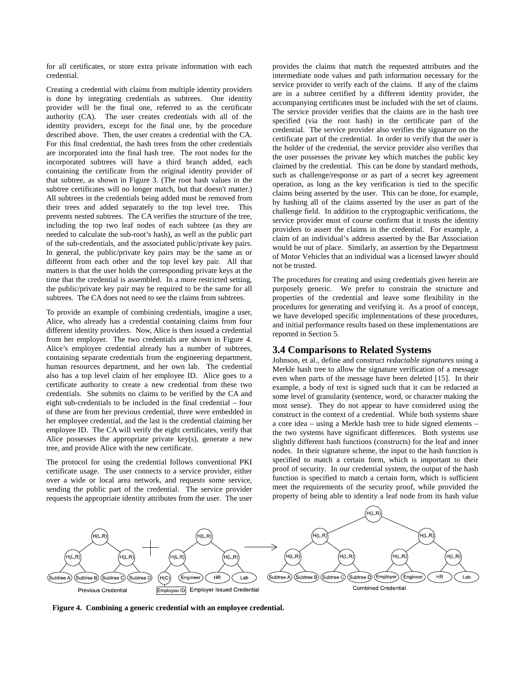for all certificates, or store extra private information with each credential.

Creating a credential with claims from multiple identity providers is done by integrating credentials as subtrees. One identity provider will be the final one, referred to as the certificate authority (CA). The user creates credentials with all of the identity providers, except for the final one, by the procedure described above. Then, the user creates a credential with the CA. For this final credential, the hash trees from the other credentials are incorporated into the final hash tree. The root nodes for the incorporated subtrees will have a third branch added, each containing the certificate from the original identity provider of that subtree, as shown in Figure 3. (The root hash values in the subtree certificates will no longer match, but that doesn't matter.) All subtrees in the credentials being added must be removed from their trees and added separately to the top level tree. This prevents nested subtrees. The CA verifies the structure of the tree, including the top two leaf nodes of each subtree (as they are needed to calculate the sub-root's hash), as well as the public part of the sub-credentials, and the associated public/private key pairs. In general, the public/private key pairs may be the same as or different from each other and the top level key pair. All that matters is that the user holds the corresponding private keys at the time that the credential is assembled. In a more restricted setting, the public/private key pair may be required to be the same for all subtrees. The CA does not need to see the claims from subtrees.

To provide an example of combining credentials, imagine a user, Alice, who already has a credential containing claims from four different identity providers. Now, Alice is then issued a credential from her employer. The two credentials are shown in Figure 4. Alice's employee credential already has a number of subtrees, containing separate credentials from the engineering department, human resources department, and her own lab. The credential also has a top level claim of her employee ID. Alice goes to a certificate authority to create a new credential from these two credentials. She submits no claims to be verified by the CA and eight sub-credentials to be included in the final credential – four of these are from her previous credential, three were embedded in her employee credential, and the last is the credential claiming her employee ID. The CA will verify the eight certificates, verify that Alice possesses the appropriate private key(s), generate a new tree, and provide Alice with the new certificate.

The protocol for using the credential follows conventional PKI certificate usage. The user connects to a service provider, either over a wide or local area network, and requests some service, sending the public part of the credential. The service provider requests the appropriate identity attributes from the user. The user

provides the claims that match the requested attributes and the intermediate node values and path information necessary for the service provider to verify each of the claims. If any of the claims are in a subtree certified by a different identity provider, the accompanying certificates must be included with the set of claims. The service provider verifies that the claims are in the hash tree specified (via the root hash) in the certificate part of the credential. The service provider also verifies the signature on the certificate part of the credential. In order to verify that the user is the holder of the credential, the service provider also verifies that the user possesses the private key which matches the public key claimed by the credential. This can be done by standard methods, such as challenge/response or as part of a secret key agreement operation, as long as the key verification is tied to the specific claims being asserted by the user. This can be done, for example, by hashing all of the claims asserted by the user as part of the challenge field. In addition to the cryptographic verifications, the service provider must of course confirm that it trusts the identity providers to assert the claims in the credential. For example, a claim of an individual's address asserted by the Bar Association would be out of place. Similarly, an assertion by the Department of Motor Vehicles that an individual was a licensed lawyer should not be trusted.

The procedures for creating and using credentials given herein are purposely generic. We prefer to constrain the structure and properties of the credential and leave some flexibility in the procedures for generating and verifying it. As a proof of concept, we have developed specific implementations of these procedures, and initial performance results based on these implementations are reported in Section 5.

#### **3.4 Comparisons to Related Systems**

Johnson, et al., define and construct *redactable signatures* using a Merkle hash tree to allow the signature verification of a message even when parts of the message have been deleted [15]. In their example, a body of text is signed such that it can be redacted at some level of granularity (sentence, word, or character making the most sense). They do not appear to have considered using the construct in the context of a credential. While both systems share a core idea – using a Merkle hash tree to hide signed elements – the two systems have significant differences. Both systems use slightly different hash functions (constructs) for the leaf and inner nodes. In their signature scheme, the input to the hash function is specified to match a certain form, which is important to their proof of security. In our credential system, the output of the hash function is specified to match a certain form, which is sufficient meet the requirements of the security proof, while provided the property of being able to identity a leaf node from its hash value



**Figure 4. Combining a generic credential with an employee credential.**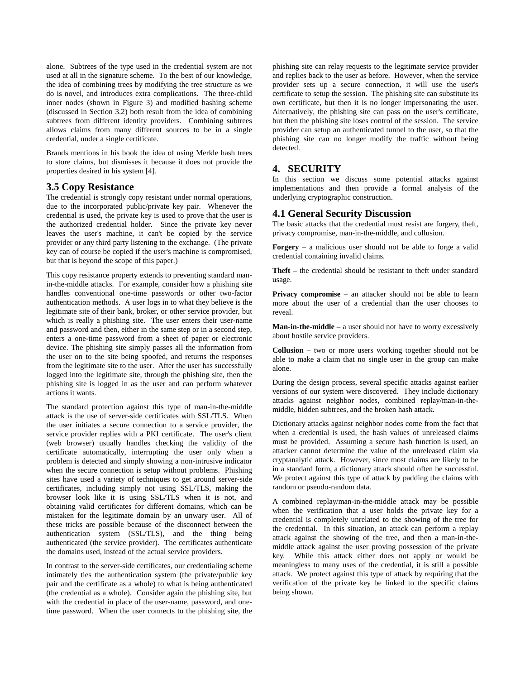alone. Subtrees of the type used in the credential system are not used at all in the signature scheme. To the best of our knowledge, the idea of combining trees by modifying the tree structure as we do is novel, and introduces extra complications. The three-child inner nodes (shown in Figure 3) and modified hashing scheme (discussed in Section 3.2) both result from the idea of combining subtrees from different identity providers. Combining subtrees allows claims from many different sources to be in a single credential, under a single certificate.

Brands mentions in his book the idea of using Merkle hash trees to store claims, but dismisses it because it does not provide the properties desired in his system [4].

## **3.5 Copy Resistance**

The credential is strongly copy resistant under normal operations, due to the incorporated public/private key pair. Whenever the credential is used, the private key is used to prove that the user is the authorized credential holder. Since the private key never leaves the user's machine, it can't be copied by the service provider or any third party listening to the exchange. (The private key can of course be copied if the user's machine is compromised, but that is beyond the scope of this paper.)

This copy resistance property extends to preventing standard manin-the-middle attacks. For example, consider how a phishing site handles conventional one-time passwords or other two-factor authentication methods. A user logs in to what they believe is the legitimate site of their bank, broker, or other service provider, but which is really a phishing site. The user enters their user-name and password and then, either in the same step or in a second step, enters a one-time password from a sheet of paper or electronic device. The phishing site simply passes all the information from the user on to the site being spoofed, and returns the responses from the legitimate site to the user. After the user has successfully logged into the legitimate site, through the phishing site, then the phishing site is logged in as the user and can perform whatever actions it wants.

The standard protection against this type of man-in-the-middle attack is the use of server-side certificates with SSL/TLS. When the user initiates a secure connection to a service provider, the service provider replies with a PKI certificate. The user's client (web browser) usually handles checking the validity of the certificate automatically, interrupting the user only when a problem is detected and simply showing a non-intrusive indicator when the secure connection is setup without problems. Phishing sites have used a variety of techniques to get around server-side certificates, including simply not using SSL/TLS, making the browser look like it is using SSL/TLS when it is not, and obtaining valid certificates for different domains, which can be mistaken for the legitimate domain by an unwary user. All of these tricks are possible because of the disconnect between the authentication system (SSL/TLS), and the thing being authenticated (the service provider). The certificates authenticate the domains used, instead of the actual service providers.

In contrast to the server-side certificates, our credentialing scheme intimately ties the authentication system (the private/public key pair and the certificate as a whole) to what is being authenticated (the credential as a whole). Consider again the phishing site, but with the credential in place of the user-name, password, and onetime password. When the user connects to the phishing site, the

phishing site can relay requests to the legitimate service provider and replies back to the user as before. However, when the service provider sets up a secure connection, it will use the user's certificate to setup the session. The phishing site can substitute its own certificate, but then it is no longer impersonating the user. Alternatively, the phishing site can pass on the user's certificate, but then the phishing site loses control of the session. The service provider can setup an authenticated tunnel to the user, so that the phishing site can no longer modify the traffic without being detected.

# **4. SECURITY**

In this section we discuss some potential attacks against implementations and then provide a formal analysis of the underlying cryptographic construction.

## **4.1 General Security Discussion**

The basic attacks that the credential must resist are forgery, theft, privacy compromise, man-in-the-middle, and collusion.

**Forgery** – a malicious user should not be able to forge a valid credential containing invalid claims.

**Theft** – the credential should be resistant to theft under standard usage.

**Privacy compromise** – an attacker should not be able to learn more about the user of a credential than the user chooses to reveal.

**Man-in-the-middle** – a user should not have to worry excessively about hostile service providers.

**Collusion** – two or more users working together should not be able to make a claim that no single user in the group can make alone.

During the design process, several specific attacks against earlier versions of our system were discovered. They include dictionary attacks against neighbor nodes, combined replay/man-in-themiddle, hidden subtrees, and the broken hash attack.

Dictionary attacks against neighbor nodes come from the fact that when a credential is used, the hash values of unreleased claims must be provided. Assuming a secure hash function is used, an attacker cannot determine the value of the unreleased claim via cryptanalytic attack. However, since most claims are likely to be in a standard form, a dictionary attack should often be successful. We protect against this type of attack by padding the claims with random or pseudo-random data.

A combined replay/man-in-the-middle attack may be possible when the verification that a user holds the private key for a credential is completely unrelated to the showing of the tree for the credential. In this situation, an attack can perform a replay attack against the showing of the tree, and then a man-in-themiddle attack against the user proving possession of the private key. While this attack either does not apply or would be meaningless to many uses of the credential, it is still a possible attack. We protect against this type of attack by requiring that the verification of the private key be linked to the specific claims being shown.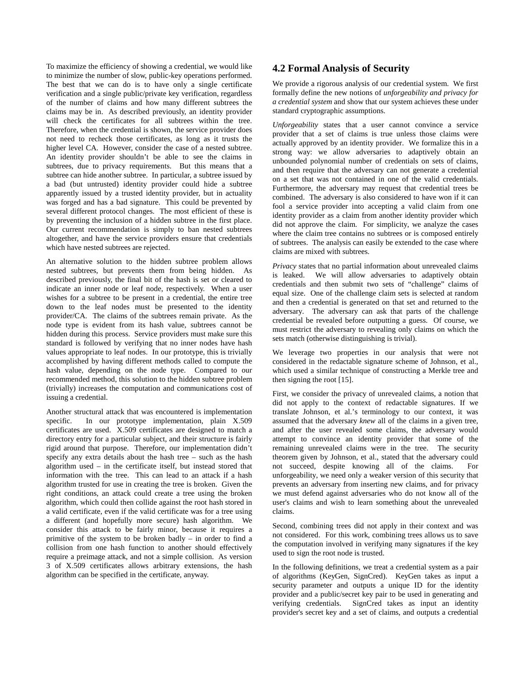To maximize the efficiency of showing a credential, we would like to minimize the number of slow, public-key operations performed. The best that we can do is to have only a single certificate verification and a single public/private key verification, regardless of the number of claims and how many different subtrees the claims may be in. As described previously, an identity provider will check the certificates for all subtrees within the tree. Therefore, when the credential is shown, the service provider does not need to recheck those certificates, as long as it trusts the higher level CA. However, consider the case of a nested subtree. An identity provider shouldn't be able to see the claims in subtrees, due to privacy requirements. But this means that a subtree can hide another subtree. In particular, a subtree issued by a bad (but untrusted) identity provider could hide a subtree apparently issued by a trusted identity provider, but in actuality was forged and has a bad signature. This could be prevented by several different protocol changes. The most efficient of these is by preventing the inclusion of a hidden subtree in the first place. Our current recommendation is simply to ban nested subtrees altogether, and have the service providers ensure that credentials which have nested subtrees are rejected.

An alternative solution to the hidden subtree problem allows nested subtrees, but prevents them from being hidden. As described previously, the final bit of the hash is set or cleared to indicate an inner node or leaf node, respectively. When a user wishes for a subtree to be present in a credential, the entire tree down to the leaf nodes must be presented to the identity provider/CA. The claims of the subtrees remain private. As the node type is evident from its hash value, subtrees cannot be hidden during this process. Service providers must make sure this standard is followed by verifying that no inner nodes have hash values appropriate to leaf nodes. In our prototype, this is trivially accomplished by having different methods called to compute the hash value, depending on the node type. Compared to our recommended method, this solution to the hidden subtree problem (trivially) increases the computation and communications cost of issuing a credential.

Another structural attack that was encountered is implementation specific. In our prototype implementation, plain X.509 certificates are used. X.509 certificates are designed to match a directory entry for a particular subject, and their structure is fairly rigid around that purpose. Therefore, our implementation didn't specify any extra details about the hash tree – such as the hash algorithm used – in the certificate itself, but instead stored that information with the tree. This can lead to an attack if a hash algorithm trusted for use in creating the tree is broken. Given the right conditions, an attack could create a tree using the broken algorithm, which could then collide against the root hash stored in a valid certificate, even if the valid certificate was for a tree using a different (and hopefully more secure) hash algorithm. We consider this attack to be fairly minor, because it requires a primitive of the system to be broken badly – in order to find a collision from one hash function to another should effectively require a preimage attack, and not a simple collision. As version 3 of X.509 certificates allows arbitrary extensions, the hash algorithm can be specified in the certificate, anyway.

# **4.2 Formal Analysis of Security**

We provide a rigorous analysis of our credential system. We first formally define the new notions of *unforgeability and privacy for a credential system* and show that our system achieves these under standard cryptographic assumptions.

*Unforgeability* states that a user cannot convince a service provider that a set of claims is true unless those claims were actually approved by an identity provider. We formalize this in a strong way: we allow adversaries to adaptively obtain an unbounded polynomial number of credentials on sets of claims, and then require that the adversary can not generate a credential on a set that was not contained in one of the valid credentials. Furthermore, the adversary may request that credential trees be combined. The adversary is also considered to have won if it can fool a service provider into accepting a valid claim from one identity provider as a claim from another identity provider which did not approve the claim. For simplicity, we analyze the cases where the claim tree contains no subtrees or is composed entirely of subtrees. The analysis can easily be extended to the case where claims are mixed with subtrees.

*Privacy* states that no partial information about unrevealed claims is leaked. We will allow adversaries to adaptively obtain credentials and then submit two sets of "challenge" claims of equal size. One of the challenge claim sets is selected at random and then a credential is generated on that set and returned to the adversary. The adversary can ask that parts of the challenge credential be revealed before outputting a guess. Of course, we must restrict the adversary to revealing only claims on which the sets match (otherwise distinguishing is trivial).

We leverage two properties in our analysis that were not considered in the redactable signature scheme of Johnson, et al., which used a similar technique of constructing a Merkle tree and then signing the root [15].

First, we consider the privacy of unrevealed claims, a notion that did not apply to the context of redactable signatures. If we translate Johnson, et al.'s terminology to our context, it was assumed that the adversary *knew* all of the claims in a given tree, and after the user revealed some claims, the adversary would attempt to convince an identity provider that some of the remaining unrevealed claims were in the tree. The security theorem given by Johnson, et al., stated that the adversary could not succeed, despite knowing all of the claims. For unforgeability, we need only a weaker version of this security that prevents an adversary from inserting new claims, and for privacy we must defend against adversaries who do not know all of the user's claims and wish to learn something about the unrevealed claims.

Second, combining trees did not apply in their context and was not considered. For this work, combining trees allows us to save the computation involved in verifying many signatures if the key used to sign the root node is trusted.

In the following definitions, we treat a credential system as a pair of algorithms (KeyGen, SignCred). KeyGen takes as input a security parameter and outputs a unique ID for the identity provider and a public/secret key pair to be used in generating and verifying credentials. SignCred takes as input an identity provider's secret key and a set of claims, and outputs a credential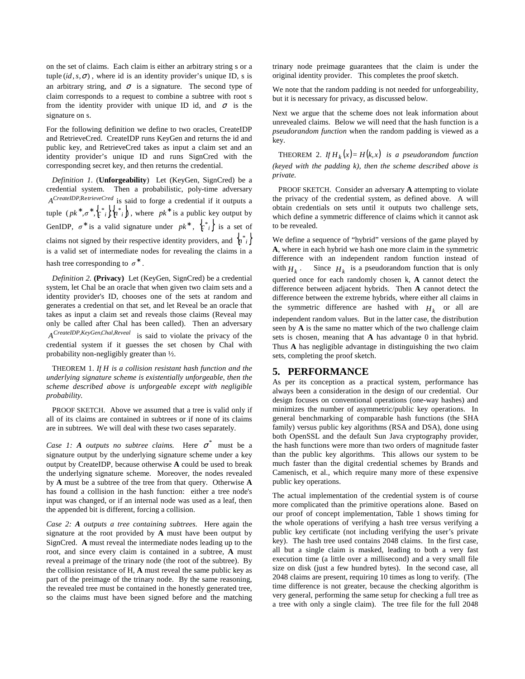on the set of claims. Each claim is either an arbitrary string s or a tuple  $(id, s, \sigma)$ , where id is an identity provider's unique ID, s is an arbitrary string, and  $\sigma$  is a signature. The second type of claim corresponds to a request to combine a subtree with root s from the identity provider with unique ID id, and  $\sigma$  is the signature on s.

For the following definition we define to two oracles, CreateIDP and RetrieveCred. CreateIDP runs KeyGen and returns the id and public key, and RetrieveCred takes as input a claim set and an identity provider's unique ID and runs SignCred with the corresponding secret key, and then returns the credential.

 *Definition 1*. (**Unforgeability**) Let (KeyGen, SignCred) be a credential system. Then a probabilistic, poly-time adversary *A*<sup>CreateIDP, RetrieveCred</sup> is said to forge a credential if it outputs a tuple  $(\rho k^*, \sigma^*, \langle c_i^* \rangle \mid n^* \in \rangle$ , where  $p k^*$  is a public key output by GenIDP,  $\sigma^*$  is a valid signature under  $pk^*$ ,  $\{c^*i\}$  is a set of claims not signed by their respective identity providers, and  $\left\{ n^*, i \right\}$ is a valid set of intermediate nodes for revealing the claims in a hash tree corresponding to  $\sigma^*$ .

 *Definition 2.* **(Privacy)** Let (KeyGen, SignCred) be a credential system, let Chal be an oracle that when given two claim sets and a identity provider's ID, chooses one of the sets at random and generates a credential on that set, and let Reveal be an oracle that takes as input a claim set and reveals those claims (Reveal may only be called after Chal has been called). Then an adversary *A* CreateIDP, KeyGen, Chal, Reveal *is said to violate the privacy of the* credential system if it guesses the set chosen by Chal with probability non-negligibly greater than ½.

 THEOREM 1. *If H is a collision resistant hash function and the underlying signature scheme is existentially unforgeable, then the scheme described above is unforgeable except with negligible probability.*

PROOF SKETCH. Above we assumed that a tree is valid only if all of its claims are contained in subtrees or if none of its claims are in subtrees. We will deal with these two cases separately.

*Case 1: A outputs no subtree claims.* Here  $\sigma^*$  must be a signature output by the underlying signature scheme under a key output by CreateIDP, because otherwise **A** could be used to break the underlying signature scheme. Moreover, the nodes revealed by **A** must be a subtree of the tree from that query. Otherwise **A** has found a collision in the hash function: either a tree node's input was changed, or if an internal node was used as a leaf, then the appended bit is different, forcing a collision.

*Case 2: A outputs a tree containing subtrees.* Here again the signature at the root provided by **A** must have been output by SignCred. **A** must reveal the intermediate nodes leading up to the root, and since every claim is contained in a subtree, **A** must reveal a preimage of the trinary node (the root of the subtree). By the collision resistance of H, **A** must reveal the same public key as part of the preimage of the trinary node. By the same reasoning, the revealed tree must be contained in the honestly generated tree, so the claims must have been signed before and the matching trinary node preimage guarantees that the claim is under the original identity provider. This completes the proof sketch.

We note that the random padding is not needed for unforgeability, but it is necessary for privacy, as discussed below.

Next we argue that the scheme does not leak information about unrevealed claims. Below we will need that the hash function is a *pseudorandom function* when the random padding is viewed as a key.

THEOREM 2. If  $H_k(x) = H(k, x)$  *is a pseudorandom function (keyed with the padding k), then the scheme described above is private.*

PROOF SKETCH. Consider an adversary **A** attempting to violate the privacy of the credential system, as defined above. A will obtain credentials on sets until it outputs two challenge sets, which define a symmetric difference of claims which it cannot ask to be revealed.

We define a sequence of "hybrid" versions of the game played by **A**, where in each hybrid we hash one more claim in the symmetric difference with an independent random function instead of with  $H_k$ . Since  $H_k$  is a pseudorandom function that is only queried once for each randomly chosen k, **A** cannot detect the difference between adjacent hybrids. Then **A** cannot detect the difference between the extreme hybrids, where either all claims in the symmetric difference are hashed with  $H_k$  or all are independent random values. But in the latter case, the distribution seen by **A** is the same no matter which of the two challenge claim sets is chosen, meaning that **A** has advantage 0 in that hybrid. Thus **A** has negligible advantage in distinguishing the two claim sets, completing the proof sketch.

#### **5. PERFORMANCE**

As per its conception as a practical system, performance has always been a consideration in the design of our credential. Our design focuses on conventional operations (one-way hashes) and minimizes the number of asymmetric/public key operations. In general benchmarking of comparable hash functions (the SHA family) versus public key algorithms (RSA and DSA), done using both OpenSSL and the default Sun Java cryptography provider, the hash functions were more than two orders of magnitude faster than the public key algorithms. This allows our system to be much faster than the digital credential schemes by Brands and Camenisch, et al., which require many more of these expensive public key operations.

The actual implementation of the credential system is of course more complicated than the primitive operations alone. Based on our proof of concept implementation, Table 1 shows timing for the whole operations of verifying a hash tree versus verifying a public key certificate (not including verifying the user's private key). The hash tree used contains 2048 claims. In the first case, all but a single claim is masked, leading to both a very fast execution time (a little over a millisecond) and a very small file size on disk (just a few hundred bytes). In the second case, all 2048 claims are present, requiring 10 times as long to verify. (The time difference is not greater, because the checking algorithm is very general, performing the same setup for checking a full tree as a tree with only a single claim). The tree file for the full 2048